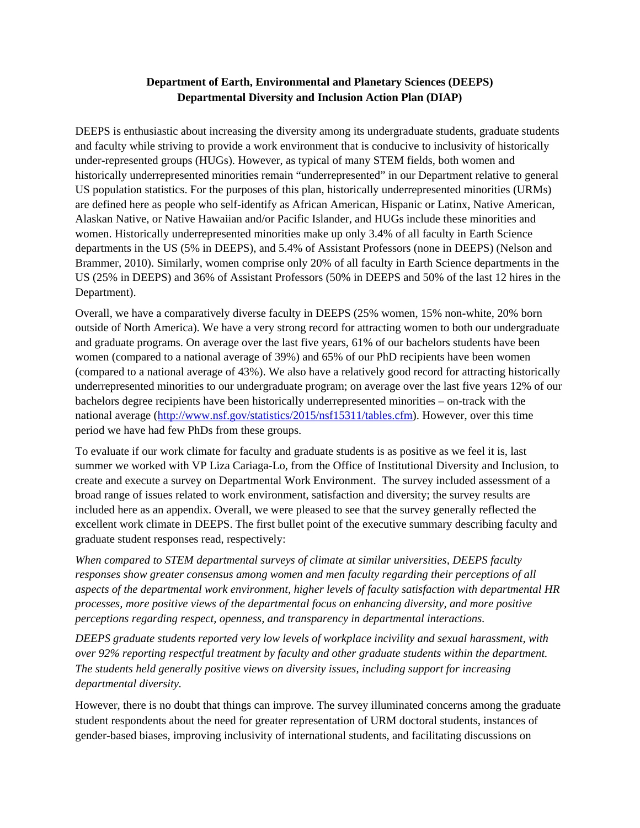# **Department of Earth, Environmental and Planetary Sciences (DEEPS) Departmental Diversity and Inclusion Action Plan (DIAP)**

DEEPS is enthusiastic about increasing the diversity among its undergraduate students, graduate students and faculty while striving to provide a work environment that is conducive to inclusivity of historically under-represented groups (HUGs). However, as typical of many STEM fields, both women and historically underrepresented minorities remain "underrepresented" in our Department relative to general US population statistics. For the purposes of this plan, historically underrepresented minorities (URMs) are defined here as people who self-identify as African American, Hispanic or Latinx, Native American, Alaskan Native, or Native Hawaiian and/or Pacific Islander, and HUGs include these minorities and women. Historically underrepresented minorities make up only 3.4% of all faculty in Earth Science departments in the US (5% in DEEPS), and 5.4% of Assistant Professors (none in DEEPS) (Nelson and Brammer, 2010). Similarly, women comprise only 20% of all faculty in Earth Science departments in the US (25% in DEEPS) and 36% of Assistant Professors (50% in DEEPS and 50% of the last 12 hires in the Department).

Overall, we have a comparatively diverse faculty in DEEPS (25% women, 15% non-white, 20% born outside of North America). We have a very strong record for attracting women to both our undergraduate and graduate programs. On average over the last five years, 61% of our bachelors students have been women (compared to a national average of 39%) and 65% of our PhD recipients have been women (compared to a national average of 43%). We also have a relatively good record for attracting historically underrepresented minorities to our undergraduate program; on average over the last five years 12% of our bachelors degree recipients have been historically underrepresented minorities – on-track with the national average (http://www.nsf.gov/statistics/2015/nsf15311/tables.cfm). However, over this time period we have had few PhDs from these groups.

To evaluate if our work climate for faculty and graduate students is as positive as we feel it is, last summer we worked with VP Liza Cariaga-Lo, from the Office of Institutional Diversity and Inclusion, to create and execute a survey on Departmental Work Environment. The survey included assessment of a broad range of issues related to work environment, satisfaction and diversity; the survey results are included here as an appendix. Overall, we were pleased to see that the survey generally reflected the excellent work climate in DEEPS. The first bullet point of the executive summary describing faculty and graduate student responses read, respectively:

*When compared to STEM departmental surveys of climate at similar universities, DEEPS faculty responses show greater consensus among women and men faculty regarding their perceptions of all aspects of the departmental work environment, higher levels of faculty satisfaction with departmental HR processes, more positive views of the departmental focus on enhancing diversity, and more positive perceptions regarding respect, openness, and transparency in departmental interactions.* 

*DEEPS graduate students reported very low levels of workplace incivility and sexual harassment, with over 92% reporting respectful treatment by faculty and other graduate students within the department. The students held generally positive views on diversity issues, including support for increasing departmental diversity.* 

However, there is no doubt that things can improve. The survey illuminated concerns among the graduate student respondents about the need for greater representation of URM doctoral students, instances of gender-based biases, improving inclusivity of international students, and facilitating discussions on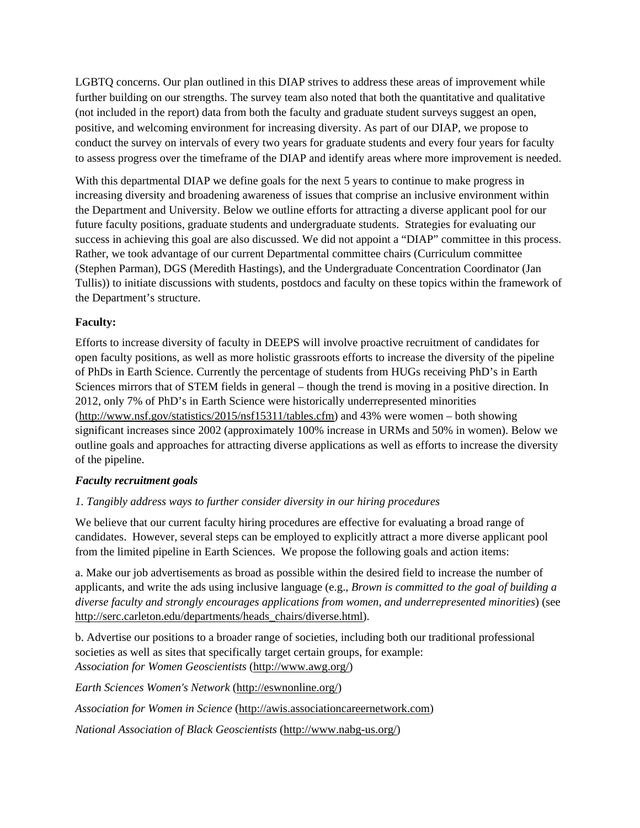LGBTQ concerns. Our plan outlined in this DIAP strives to address these areas of improvement while further building on our strengths. The survey team also noted that both the quantitative and qualitative (not included in the report) data from both the faculty and graduate student surveys suggest an open, positive, and welcoming environment for increasing diversity. As part of our DIAP, we propose to conduct the survey on intervals of every two years for graduate students and every four years for faculty to assess progress over the timeframe of the DIAP and identify areas where more improvement is needed.

With this departmental DIAP we define goals for the next 5 years to continue to make progress in increasing diversity and broadening awareness of issues that comprise an inclusive environment within the Department and University. Below we outline efforts for attracting a diverse applicant pool for our future faculty positions, graduate students and undergraduate students. Strategies for evaluating our success in achieving this goal are also discussed. We did not appoint a "DIAP" committee in this process. Rather, we took advantage of our current Departmental committee chairs (Curriculum committee (Stephen Parman), DGS (Meredith Hastings), and the Undergraduate Concentration Coordinator (Jan Tullis)) to initiate discussions with students, postdocs and faculty on these topics within the framework of the Department's structure.

# **Faculty:**

Efforts to increase diversity of faculty in DEEPS will involve proactive recruitment of candidates for open faculty positions, as well as more holistic grassroots efforts to increase the diversity of the pipeline of PhDs in Earth Science. Currently the percentage of students from HUGs receiving PhD's in Earth Sciences mirrors that of STEM fields in general – though the trend is moving in a positive direction. In 2012, only 7% of PhD's in Earth Science were historically underrepresented minorities (http://www.nsf.gov/statistics/2015/nsf15311/tables.cfm) and 43% were women – both showing significant increases since 2002 (approximately 100% increase in URMs and 50% in women). Below we outline goals and approaches for attracting diverse applications as well as efforts to increase the diversity of the pipeline.

### *Faculty recruitment goals*

# *1. Tangibly address ways to further consider diversity in our hiring procedures*

We believe that our current faculty hiring procedures are effective for evaluating a broad range of candidates. However, several steps can be employed to explicitly attract a more diverse applicant pool from the limited pipeline in Earth Sciences. We propose the following goals and action items:

a. Make our job advertisements as broad as possible within the desired field to increase the number of applicants, and write the ads using inclusive language (e.g., *Brown is committed to the goal of building a diverse faculty and strongly encourages applications from women, and underrepresented minorities*) (see http://serc.carleton.edu/departments/heads\_chairs/diverse.html).

b. Advertise our positions to a broader range of societies, including both our traditional professional societies as well as sites that specifically target certain groups, for example: *Association for Women Geoscientists* (http://www.awg.org/)

*Earth Sciences Women's Network* (http://eswnonline.org/)

*Association for Women in Science* (http://awis.associationcareernetwork.com)

*National Association of Black Geoscientists* (http://www.nabg-us.org/)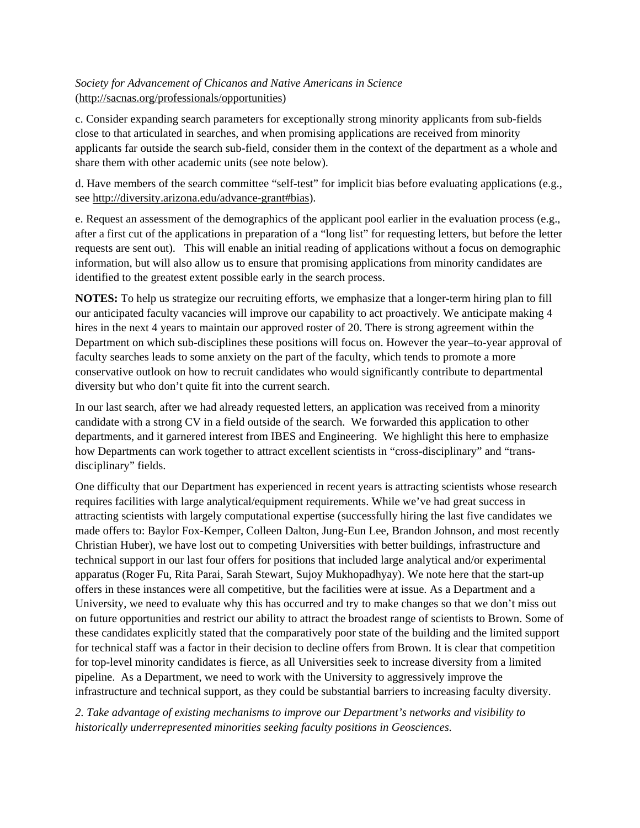# *Society for Advancement of Chicanos and Native Americans in Science* (http://sacnas.org/professionals/opportunities)

c. Consider expanding search parameters for exceptionally strong minority applicants from sub-fields close to that articulated in searches, and when promising applications are received from minority applicants far outside the search sub-field, consider them in the context of the department as a whole and share them with other academic units (see note below).

d. Have members of the search committee "self-test" for implicit bias before evaluating applications (e.g., see http://diversity.arizona.edu/advance-grant#bias).

e. Request an assessment of the demographics of the applicant pool earlier in the evaluation process (e.g., after a first cut of the applications in preparation of a "long list" for requesting letters, but before the letter requests are sent out). This will enable an initial reading of applications without a focus on demographic information, but will also allow us to ensure that promising applications from minority candidates are identified to the greatest extent possible early in the search process.

**NOTES:** To help us strategize our recruiting efforts, we emphasize that a longer-term hiring plan to fill our anticipated faculty vacancies will improve our capability to act proactively. We anticipate making 4 hires in the next 4 years to maintain our approved roster of 20. There is strong agreement within the Department on which sub-disciplines these positions will focus on. However the year–to-year approval of faculty searches leads to some anxiety on the part of the faculty, which tends to promote a more conservative outlook on how to recruit candidates who would significantly contribute to departmental diversity but who don't quite fit into the current search.

In our last search, after we had already requested letters, an application was received from a minority candidate with a strong CV in a field outside of the search. We forwarded this application to other departments, and it garnered interest from IBES and Engineering. We highlight this here to emphasize how Departments can work together to attract excellent scientists in "cross-disciplinary" and "transdisciplinary" fields.

One difficulty that our Department has experienced in recent years is attracting scientists whose research requires facilities with large analytical/equipment requirements. While we've had great success in attracting scientists with largely computational expertise (successfully hiring the last five candidates we made offers to: Baylor Fox-Kemper, Colleen Dalton, Jung-Eun Lee, Brandon Johnson, and most recently Christian Huber), we have lost out to competing Universities with better buildings, infrastructure and technical support in our last four offers for positions that included large analytical and/or experimental apparatus (Roger Fu, Rita Parai, Sarah Stewart, Sujoy Mukhopadhyay). We note here that the start-up offers in these instances were all competitive, but the facilities were at issue. As a Department and a University, we need to evaluate why this has occurred and try to make changes so that we don't miss out on future opportunities and restrict our ability to attract the broadest range of scientists to Brown. Some of these candidates explicitly stated that the comparatively poor state of the building and the limited support for technical staff was a factor in their decision to decline offers from Brown. It is clear that competition for top-level minority candidates is fierce, as all Universities seek to increase diversity from a limited pipeline. As a Department, we need to work with the University to aggressively improve the infrastructure and technical support, as they could be substantial barriers to increasing faculty diversity.

*2. Take advantage of existing mechanisms to improve our Department's networks and visibility to historically underrepresented minorities seeking faculty positions in Geosciences.*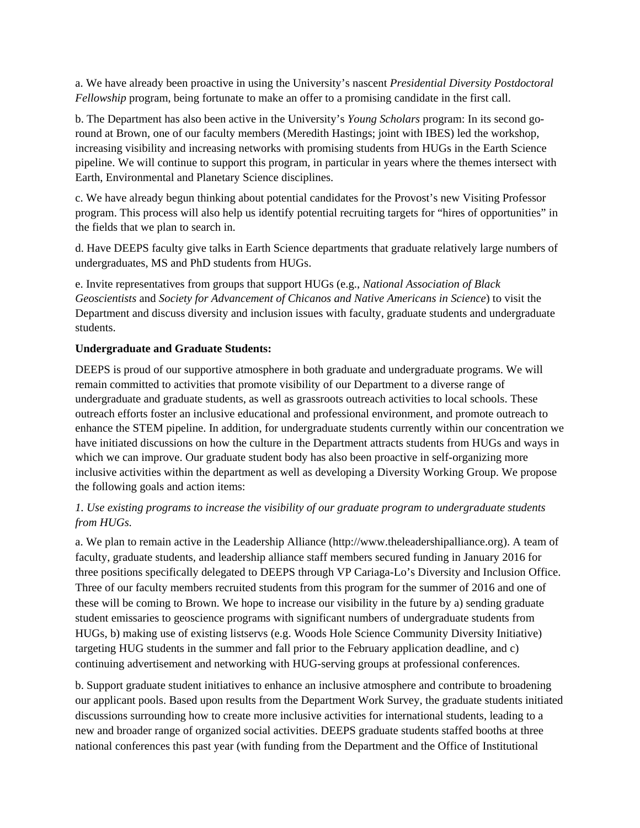a. We have already been proactive in using the University's nascent *Presidential Diversity Postdoctoral Fellowship* program, being fortunate to make an offer to a promising candidate in the first call.

b. The Department has also been active in the University's *Young Scholars* program: In its second goround at Brown, one of our faculty members (Meredith Hastings; joint with IBES) led the workshop, increasing visibility and increasing networks with promising students from HUGs in the Earth Science pipeline. We will continue to support this program, in particular in years where the themes intersect with Earth, Environmental and Planetary Science disciplines.

c. We have already begun thinking about potential candidates for the Provost's new Visiting Professor program. This process will also help us identify potential recruiting targets for "hires of opportunities" in the fields that we plan to search in.

d. Have DEEPS faculty give talks in Earth Science departments that graduate relatively large numbers of undergraduates, MS and PhD students from HUGs.

e. Invite representatives from groups that support HUGs (e.g., *National Association of Black Geoscientists* and *Society for Advancement of Chicanos and Native Americans in Science*) to visit the Department and discuss diversity and inclusion issues with faculty, graduate students and undergraduate students.

### **Undergraduate and Graduate Students:**

DEEPS is proud of our supportive atmosphere in both graduate and undergraduate programs. We will remain committed to activities that promote visibility of our Department to a diverse range of undergraduate and graduate students, as well as grassroots outreach activities to local schools. These outreach efforts foster an inclusive educational and professional environment, and promote outreach to enhance the STEM pipeline. In addition, for undergraduate students currently within our concentration we have initiated discussions on how the culture in the Department attracts students from HUGs and ways in which we can improve. Our graduate student body has also been proactive in self-organizing more inclusive activities within the department as well as developing a Diversity Working Group. We propose the following goals and action items:

## *1. Use existing programs to increase the visibility of our graduate program to undergraduate students from HUGs.*

a. We plan to remain active in the Leadership Alliance (http://www.theleadershipalliance.org). A team of faculty, graduate students, and leadership alliance staff members secured funding in January 2016 for three positions specifically delegated to DEEPS through VP Cariaga-Lo's Diversity and Inclusion Office. Three of our faculty members recruited students from this program for the summer of 2016 and one of these will be coming to Brown. We hope to increase our visibility in the future by a) sending graduate student emissaries to geoscience programs with significant numbers of undergraduate students from HUGs, b) making use of existing listservs (e.g. Woods Hole Science Community Diversity Initiative) targeting HUG students in the summer and fall prior to the February application deadline, and c) continuing advertisement and networking with HUG-serving groups at professional conferences.

b. Support graduate student initiatives to enhance an inclusive atmosphere and contribute to broadening our applicant pools. Based upon results from the Department Work Survey, the graduate students initiated discussions surrounding how to create more inclusive activities for international students, leading to a new and broader range of organized social activities. DEEPS graduate students staffed booths at three national conferences this past year (with funding from the Department and the Office of Institutional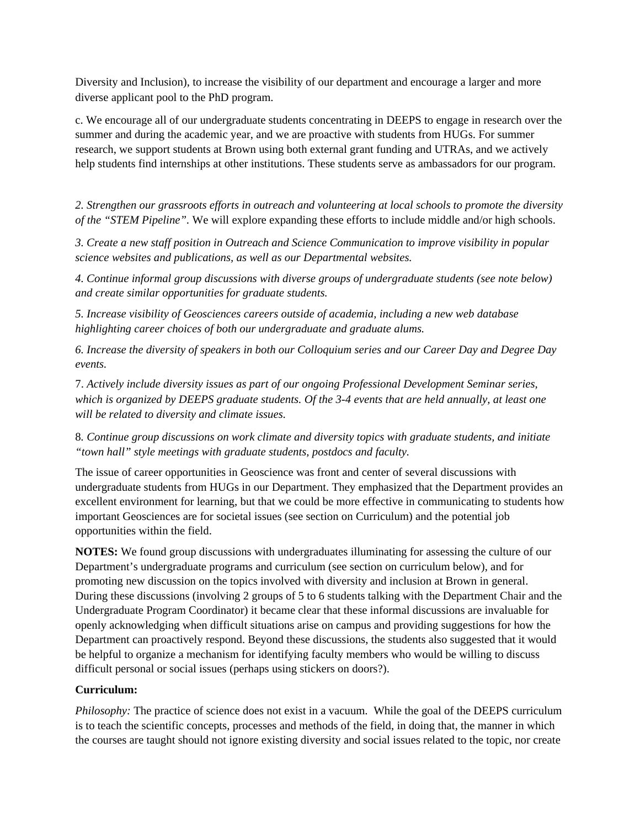Diversity and Inclusion), to increase the visibility of our department and encourage a larger and more diverse applicant pool to the PhD program.

c. We encourage all of our undergraduate students concentrating in DEEPS to engage in research over the summer and during the academic year, and we are proactive with students from HUGs. For summer research, we support students at Brown using both external grant funding and UTRAs, and we actively help students find internships at other institutions. These students serve as ambassadors for our program.

*2. Strengthen our grassroots efforts in outreach and volunteering at local schools to promote the diversity of the "STEM Pipeline".* We will explore expanding these efforts to include middle and/or high schools.

*3. Create a new staff position in Outreach and Science Communication to improve visibility in popular science websites and publications, as well as our Departmental websites.* 

*4. Continue informal group discussions with diverse groups of undergraduate students (see note below) and create similar opportunities for graduate students.* 

*5. Increase visibility of Geosciences careers outside of academia, including a new web database highlighting career choices of both our undergraduate and graduate alums.* 

*6. Increase the diversity of speakers in both our Colloquium series and our Career Day and Degree Day events.* 

7. *Actively include diversity issues as part of our ongoing Professional Development Seminar series, which is organized by DEEPS graduate students. Of the 3-4 events that are held annually, at least one will be related to diversity and climate issues.* 

8*. Continue group discussions on work climate and diversity topics with graduate students, and initiate "town hall" style meetings with graduate students, postdocs and faculty.*

The issue of career opportunities in Geoscience was front and center of several discussions with undergraduate students from HUGs in our Department. They emphasized that the Department provides an excellent environment for learning, but that we could be more effective in communicating to students how important Geosciences are for societal issues (see section on Curriculum) and the potential job opportunities within the field.

**NOTES:** We found group discussions with undergraduates illuminating for assessing the culture of our Department's undergraduate programs and curriculum (see section on curriculum below), and for promoting new discussion on the topics involved with diversity and inclusion at Brown in general. During these discussions (involving 2 groups of 5 to 6 students talking with the Department Chair and the Undergraduate Program Coordinator) it became clear that these informal discussions are invaluable for openly acknowledging when difficult situations arise on campus and providing suggestions for how the Department can proactively respond. Beyond these discussions, the students also suggested that it would be helpful to organize a mechanism for identifying faculty members who would be willing to discuss difficult personal or social issues (perhaps using stickers on doors?).

# **Curriculum:**

*Philosophy:* The practice of science does not exist in a vacuum. While the goal of the DEEPS curriculum is to teach the scientific concepts, processes and methods of the field, in doing that, the manner in which the courses are taught should not ignore existing diversity and social issues related to the topic, nor create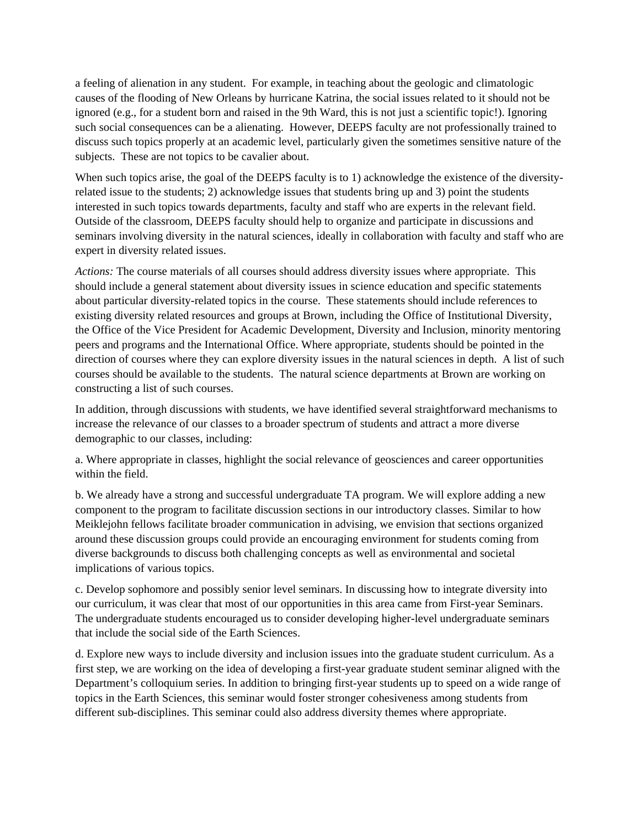a feeling of alienation in any student. For example, in teaching about the geologic and climatologic causes of the flooding of New Orleans by hurricane Katrina, the social issues related to it should not be ignored (e.g., for a student born and raised in the 9th Ward, this is not just a scientific topic!). Ignoring such social consequences can be a alienating. However, DEEPS faculty are not professionally trained to discuss such topics properly at an academic level, particularly given the sometimes sensitive nature of the subjects. These are not topics to be cavalier about.

When such topics arise, the goal of the DEEPS faculty is to 1) acknowledge the existence of the diversityrelated issue to the students; 2) acknowledge issues that students bring up and 3) point the students interested in such topics towards departments, faculty and staff who are experts in the relevant field. Outside of the classroom, DEEPS faculty should help to organize and participate in discussions and seminars involving diversity in the natural sciences, ideally in collaboration with faculty and staff who are expert in diversity related issues.

*Actions:* The course materials of all courses should address diversity issues where appropriate. This should include a general statement about diversity issues in science education and specific statements about particular diversity-related topics in the course. These statements should include references to existing diversity related resources and groups at Brown, including the Office of Institutional Diversity, the Office of the Vice President for Academic Development, Diversity and Inclusion, minority mentoring peers and programs and the International Office. Where appropriate, students should be pointed in the direction of courses where they can explore diversity issues in the natural sciences in depth. A list of such courses should be available to the students. The natural science departments at Brown are working on constructing a list of such courses.

In addition, through discussions with students, we have identified several straightforward mechanisms to increase the relevance of our classes to a broader spectrum of students and attract a more diverse demographic to our classes, including:

a. Where appropriate in classes, highlight the social relevance of geosciences and career opportunities within the field.

b. We already have a strong and successful undergraduate TA program. We will explore adding a new component to the program to facilitate discussion sections in our introductory classes. Similar to how Meiklejohn fellows facilitate broader communication in advising, we envision that sections organized around these discussion groups could provide an encouraging environment for students coming from diverse backgrounds to discuss both challenging concepts as well as environmental and societal implications of various topics.

c. Develop sophomore and possibly senior level seminars. In discussing how to integrate diversity into our curriculum, it was clear that most of our opportunities in this area came from First-year Seminars. The undergraduate students encouraged us to consider developing higher-level undergraduate seminars that include the social side of the Earth Sciences.

d. Explore new ways to include diversity and inclusion issues into the graduate student curriculum. As a first step, we are working on the idea of developing a first-year graduate student seminar aligned with the Department's colloquium series. In addition to bringing first-year students up to speed on a wide range of topics in the Earth Sciences, this seminar would foster stronger cohesiveness among students from different sub-disciplines. This seminar could also address diversity themes where appropriate.